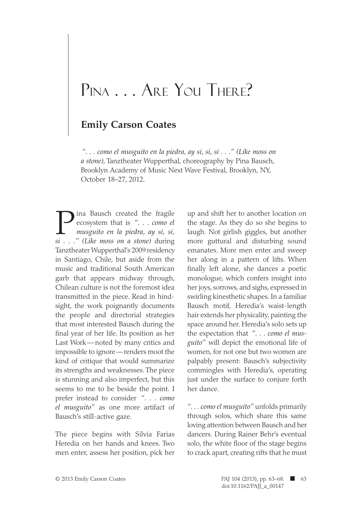## PINA . . . ARE YOU THERE?

## **Emily Carson Coates**

*". . . como el musguito en la piedra, ay si, si, si . . ." (Like moss on a stone)*, Tanztheater Wupperthal, choreography by Pina Bausch, Brooklyn Academy of Music Next Wave Festival, Brooklyn, NY, October 18–27, 2012.

Pina Bausch created the fragile ecosystem that is *". . . como el musguito en la piedra, ay si, si, si . . ." (Like moss on a stone)* during Tanztheater Wupperthal's 2009 residency in Santiago, Chile, but aside from the music and traditional South American garb that appears midway through, Chilean culture is not the foremost idea transmitted in the piece. Read in hindsight, the work poignantly documents the people and directorial strategies that most interested Bausch during the final year of her life. Its position as her Last Work—noted by many critics and impossible to ignore—renders moot the kind of critique that would summarize its strengths and weaknesses. The piece is stunning and also imperfect, but this seems to me to be beside the point. I prefer instead to consider *". . . como el musguito"* as one more artifact of Bausch's still-active gaze.

The piece begins with Silvia Farias Heredia on her hands and knees. Two men enter, assess her position, pick her

up and shift her to another location on the stage. As they do so she begins to laugh. Not girlish giggles, but another more guttural and disturbing sound emanates. More men enter and sweep her along in a pattern of lifts. When finally left alone, she dances a poetic monologue, which confers insight into her joys, sorrows, and sighs, expressed in swirling kinesthetic shapes. In a familiar Bausch motif, Heredia's waist-length hair extends her physicality, painting the space around her. Heredia's solo sets up the expectation that *". . . como el musguito"* will depict the emotional life of women, for not one but two women are palpably present: Bausch's subjectivity commingles with Heredia's, operating just under the surface to conjure forth her dance.

*". . . como el musguito"* unfolds primarily through solos, which share this same loving attention between Bausch and her dancers. During Rainer Behr's eventual solo, the white floor of the stage begins to crack apart, creating rifts that he must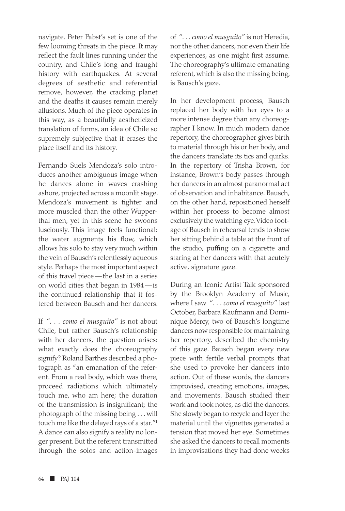navigate. Peter Pabst's set is one of the few looming threats in the piece. It may reflect the fault lines running under the country, and Chile's long and fraught history with earthquakes. At several degrees of aesthetic and referential remove, however, the cracking planet and the deaths it causes remain merely allusions. Much of the piece operates in this way, as a beautifully aestheticized translation of forms, an idea of Chile so supremely subjective that it erases the place itself and its history.

Fernando Suels Mendoza's solo introduces another ambiguous image when he dances alone in waves crashing ashore, projected across a moonlit stage. Mendoza's movement is tighter and more muscled than the other Wupperthal men, yet in this scene he swoons lusciously. This image feels functional: the water augments his flow, which allows his solo to stay very much within the vein of Bausch's relentlessly aqueous style. Perhaps the most important aspect of this travel piece—the last in a series on world cities that began in 1984—is the continued relationship that it fostered between Bausch and her dancers.

If *". . . como el musguito"* is not about Chile, but rather Bausch's relationship with her dancers, the question arises: what exactly does the choreography signify? Roland Barthes described a photograph as "an emanation of the referent. From a real body, which was there, proceed radiations which ultimately touch me, who am here; the duration of the transmission is insignificant; the photograph of the missing being . . . will touch me like the delayed rays of a star."1 A dance can also signify a reality no longer present. But the referent transmitted through the solos and action-images of *". . . como el musguito"* is not Heredia, nor the other dancers, nor even their life experiences, as one might first assume. The choreography's ultimate emanating referent, which is also the missing being, is Bausch's gaze.

In her development process, Bausch replaced her body with her eyes to a more intense degree than any choreographer I know. In much modern dance repertory, the choreographer gives birth to material through his or her body, and the dancers translate its tics and quirks. In the repertory of Trisha Brown, for instance, Brown's body passes through her dancers in an almost paranormal act of observation and inhabitance. Bausch, on the other hand, repositioned herself within her process to become almost exclusively the watching eye. Video footage of Bausch in rehearsal tends to show her sitting behind a table at the front of the studio, puffing on a cigarette and staring at her dancers with that acutely active, signature gaze.

During an Iconic Artist Talk sponsored by the Brooklyn Academy of Music, where I saw *". . . como el musguito"* last October, Barbara Kaufmann and Dominique Mercy, two of Bausch's longtime dancers now responsible for maintaining her repertory, described the chemistry of this gaze. Bausch began every new piece with fertile verbal prompts that she used to provoke her dancers into action. Out of these words, the dancers improvised, creating emotions, images, and movements. Bausch studied their work and took notes, as did the dancers. She slowly began to recycle and layer the material until the vignettes generated a tension that moved her eye. Sometimes she asked the dancers to recall moments in improvisations they had done weeks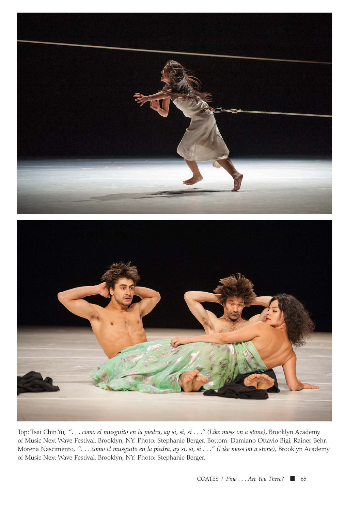



Top: Tsai Chin Yu, *". . . como el musguito en la piedra, ay si, si, si . . ." (Like moss on a stone),* Brooklyn Academy of Music Next Wave Festival, Brooklyn, NY. Photo: Stephanie Berger. Bottom: Damiano Ottavio Bigi, Rainer Behr, Morena Nascimento, *". . . como el musguito en la piedra, ay si, si, si . . ." (Like moss on a stone),* Brooklyn Academy of Music Next Wave Festival, Brooklyn, NY. Photo: Stephanie Berger.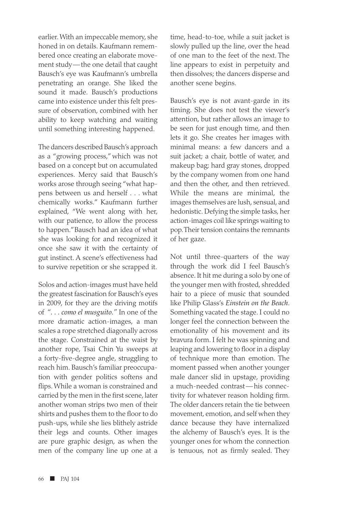earlier. With an impeccable memory, she honed in on details. Kaufmann remembered once creating an elaborate movement study—the one detail that caught Bausch's eye was Kaufmann's umbrella penetrating an orange. She liked the sound it made. Bausch's productions came into existence under this felt pressure of observation, combined with her ability to keep watching and waiting until something interesting happened.

The dancers described Bausch's approach as a "growing process," which was not based on a concept but on accumulated experiences. Mercy said that Bausch's works arose through seeing "what happens between us and herself . . . what chemically works." Kaufmann further explained, "We went along with her, with our patience, to allow the process to happen." Bausch had an idea of what she was looking for and recognized it once she saw it with the certainty of gut instinct. A scene's effectiveness had to survive repetition or she scrapped it.

Solos and action-images must have held the greatest fascination for Bausch's eyes in 2009, for they are the driving motifs of *". . . como el musguito."* In one of the more dramatic action-images, a man scales a rope stretched diagonally across the stage. Constrained at the waist by another rope, Tsai Chin Yu sweeps at a forty-five-degree angle, struggling to reach him. Bausch's familiar preoccupation with gender politics softens and flips. While a woman is constrained and carried by the men in the first scene, later another woman strips two men of their shirts and pushes them to the floor to do push-ups, while she lies blithely astride their legs and counts. Other images are pure graphic design, as when the men of the company line up one at a

time, head-to-toe, while a suit jacket is slowly pulled up the line, over the head of one man to the feet of the next. The line appears to exist in perpetuity and then dissolves; the dancers disperse and another scene begins.

Bausch's eye is not avant-garde in its timing. She does not test the viewer's attention, but rather allows an image to be seen for just enough time, and then lets it go. She creates her images with minimal means: a few dancers and a suit jacket; a chair, bottle of water, and makeup bag; hard gray stones, dropped by the company women from one hand and then the other, and then retrieved. While the means are minimal, the images themselves are lush, sensual, and hedonistic. Defying the simple tasks, her action-images coil like springs waiting to pop. Their tension contains the remnants of her gaze.

Not until three-quarters of the way through the work did I feel Bausch's absence. It hit me during a solo by one of the younger men with frosted, shredded hair to a piece of music that sounded like Philip Glass's *Einstein on the Beach*. Something vacated the stage. I could no longer feel the connection between the emotionality of his movement and its bravura form. I felt he was spinning and leaping and lowering to floor in a display of technique more than emotion. The moment passed when another younger male dancer slid in upstage, providing a much-needed contrast—his connectivity for whatever reason holding firm. The older dancers retain the tie between movement, emotion, and self when they dance because they have internalized the alchemy of Bausch's eyes. It is the younger ones for whom the connection is tenuous, not as firmly sealed. They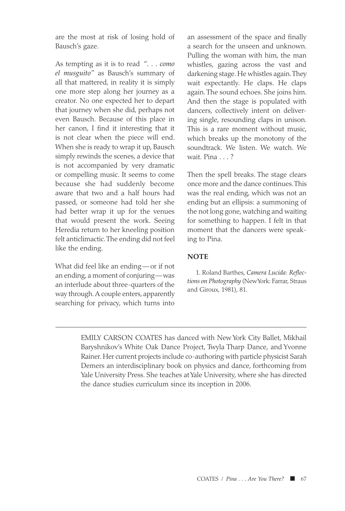are the most at risk of losing hold of Bausch's gaze.

As tempting as it is to read *". . . como el musguito"* as Bausch's summary of all that mattered, in reality it is simply one more step along her journey as a creator. No one expected her to depart that journey when she did, perhaps not even Bausch. Because of this place in her canon, I find it interesting that it is not clear when the piece will end. When she is ready to wrap it up, Bausch simply rewinds the scenes, a device that is not accompanied by very dramatic or compelling music. It seems to come because she had suddenly become aware that two and a half hours had passed, or someone had told her she had better wrap it up for the venues that would present the work. Seeing Heredia return to her kneeling position felt anticlimactic. The ending did not feel like the ending.

What did feel like an ending—or if not an ending, a moment of conjuring—was an interlude about three-quarters of the way through. A couple enters, apparently searching for privacy, which turns into

an assessment of the space and finally a search for the unseen and unknown. Pulling the woman with him, the man whistles, gazing across the vast and darkening stage. He whistles again. They wait expectantly. He claps. He claps again. The sound echoes. She joins him. And then the stage is populated with dancers, collectively intent on delivering single, resounding claps in unison. This is a rare moment without music, which breaks up the monotony of the soundtrack. We listen. We watch. We wait. Pina . . . ?

Then the spell breaks. The stage clears once more and the dance continues. This was the real ending, which was not an ending but an ellipsis: a summoning of the not long gone, watching and waiting for something to happen. I felt in that moment that the dancers were speaking to Pina.

## **NOTE**

1. Roland Barthes, *Camera Lucida*: *Reflections on Photography* (New York: Farrar, Straus and Giroux, 1981), 81.

EMILY CARSON COATES has danced with New York City Ballet, Mikhail Baryshnikov's White Oak Dance Project, Twyla Tharp Dance, and Yvonne Rainer. Her current projects include co-authoring with particle physicist Sarah Demers an interdisciplinary book on physics and dance, forthcoming from Yale University Press. She teaches at Yale University, where she has directed the dance studies curriculum since its inception in 2006.